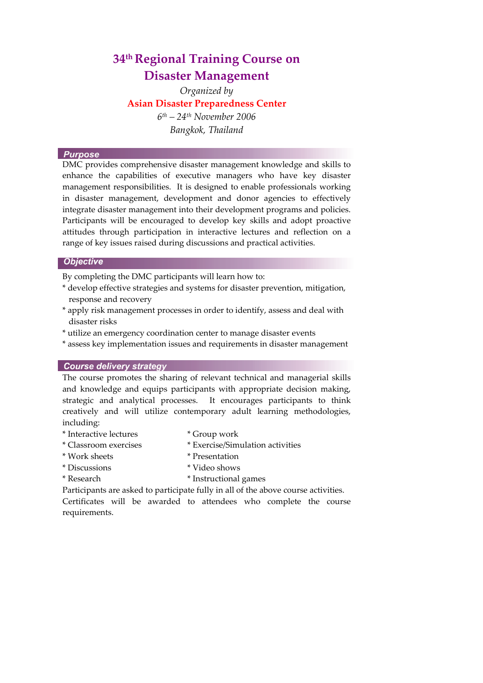# **34th Regional Training Course on Disaster Management**

*Organized by* **Asian Disaster Preparedness Center**  *6th – 24th November 2006 Bangkok, Thailand* 

#### **Purpose**

DMC provides comprehensive disaster management knowledge and skills to enhance the capabilities of executive managers who have key disaster management responsibilities. It is designed to enable professionals working in disaster management, development and donor agencies to effectively integrate disaster management into their development programs and policies. Participants will be encouraged to develop key skills and adopt proactive attitudes through participation in interactive lectures and reflection on a range of key issues raised during discussions and practical activities.

## **Objective**

By completing the DMC participants will learn how to:

- \* develop effective strategies and systems for disaster prevention, mitigation, response and recovery
- \* apply risk management processes in order to identify, assess and deal with disaster risks
- \* utilize an emergency coordination center to manage disaster events
- \* assess key implementation issues and requirements in disaster management

#### **Course delivery strategy**

The course promotes the sharing of relevant technical and managerial skills and knowledge and equips participants with appropriate decision making, strategic and analytical processes. It encourages participants to think creatively and will utilize contemporary adult learning methodologies, including:

- \* Interactive lectures \* Group work
	-
- \* Classroom exercises \* Exercise/Simulation activities
- \* Work sheets \* Presentation
- \* Discussions \* Video shows
- \* Research \* Instructional games

Participants are asked to participate fully in all of the above course activities.

Certificates will be awarded to attendees who complete the course requirements.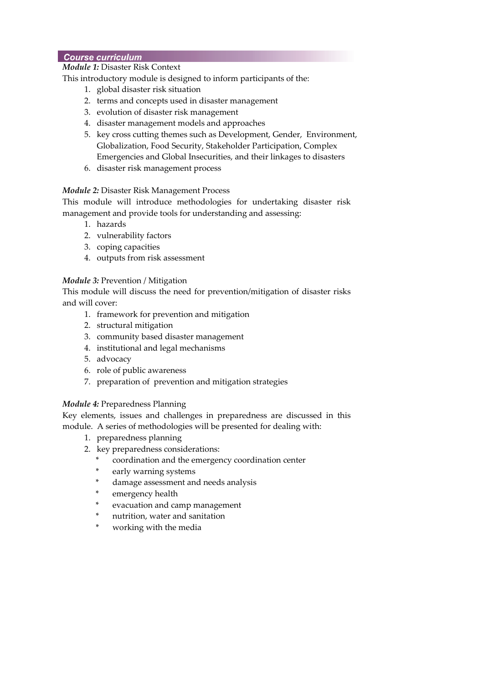# **Course curriculum**

# *Module 1:* Disaster Risk Context

This introductory module is designed to inform participants of the:

- 1. global disaster risk situation
- 2. terms and concepts used in disaster management
- 3. evolution of disaster risk management
- 4. disaster management models and approaches
- 5. key cross cutting themes such as Development, Gender, Environment, Globalization, Food Security, Stakeholder Participation, Complex Emergencies and Global Insecurities, and their linkages to disasters
- 6. disaster risk management process

# *Module 2:* Disaster Risk Management Process

This module will introduce methodologies for undertaking disaster risk management and provide tools for understanding and assessing:

- 1. hazards
- 2. vulnerability factors
- 3. coping capacities
- 4. outputs from risk assessment

# *Module 3:* Prevention / Mitigation

This module will discuss the need for prevention/mitigation of disaster risks and will cover:

- 1. framework for prevention and mitigation
- 2. structural mitigation
- 3. community based disaster management
- 4. institutional and legal mechanisms
- 5. advocacy
- 6. role of public awareness
- 7. preparation of prevention and mitigation strategies

# *Module 4:* Preparedness Planning

Key elements, issues and challenges in preparedness are discussed in this module. A series of methodologies will be presented for dealing with:

- 1. preparedness planning
- 2. key preparedness considerations:
	- coordination and the emergency coordination center
	- early warning systems
	- damage assessment and needs analysis
	- emergency health
	- evacuation and camp management
	- nutrition, water and sanitation
	- working with the media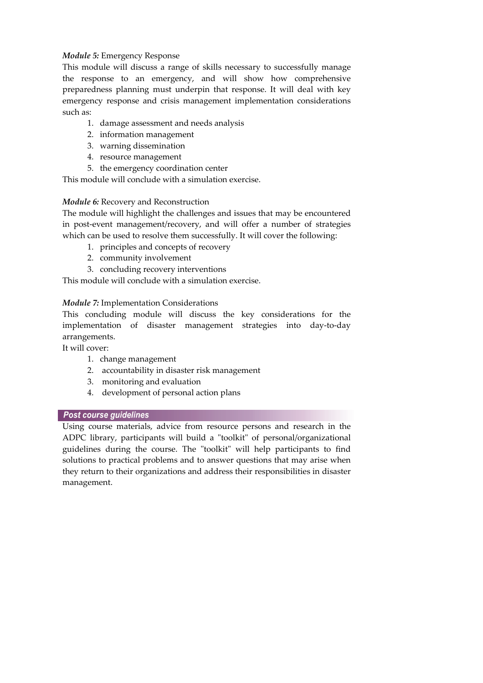# *Module 5:* Emergency Response

This module will discuss a range of skills necessary to successfully manage the response to an emergency, and will show how comprehensive preparedness planning must underpin that response. It will deal with key emergency response and crisis management implementation considerations such as:

- 1. damage assessment and needs analysis
- 2. information management
- 3. warning dissemination
- 4. resource management
- 5. the emergency coordination center

This module will conclude with a simulation exercise.

# *Module 6:* Recovery and Reconstruction

The module will highlight the challenges and issues that may be encountered in post-event management/recovery, and will offer a number of strategies which can be used to resolve them successfully. It will cover the following:

- 1. principles and concepts of recovery
- 2. community involvement
- 3. concluding recovery interventions

This module will conclude with a simulation exercise.

# *Module 7:* Implementation Considerations

This concluding module will discuss the key considerations for the implementation of disaster management strategies into day-to-day arrangements.

It will cover:

- 1. change management
- 2. accountability in disaster risk management
- 3. monitoring and evaluation
- 4. development of personal action plans

# **Post course guidelines**

Using course materials, advice from resource persons and research in the ADPC library, participants will build a "toolkit" of personal/organizational guidelines during the course. The "toolkit" will help participants to find solutions to practical problems and to answer questions that may arise when they return to their organizations and address their responsibilities in disaster management.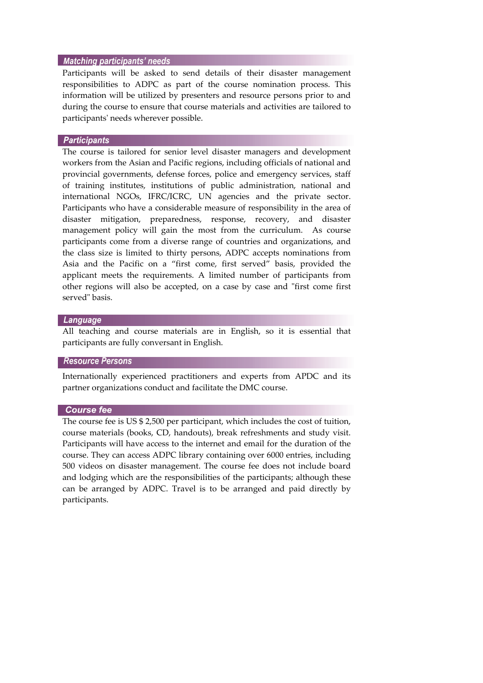#### **Matching participants' needs**

Participants will be asked to send details of their disaster management responsibilities to ADPC as part of the course nomination process. This information will be utilized by presenters and resource persons prior to and during the course to ensure that course materials and activities are tailored to participantsʹ needs wherever possible.

## **Participants**

The course is tailored for senior level disaster managers and development workers from the Asian and Pacific regions, including officials of national and provincial governments, defense forces, police and emergency services, staff of training institutes, institutions of public administration, national and international NGOs, IFRC/ICRC, UN agencies and the private sector. Participants who have a considerable measure of responsibility in the area of disaster mitigation, preparedness, response, recovery, and disaster management policy will gain the most from the curriculum. As course participants come from a diverse range of countries and organizations, and the class size is limited to thirty persons, ADPC accepts nominations from Asia and the Pacific on a "first come, first served" basis, provided the applicant meets the requirements. A limited number of participants from other regions will also be accepted, on a case by case and "first come first" served" basis.

## Language

All teaching and course materials are in English, so it is essential that participants are fully conversant in English.

#### **Resource Persons**

J.

Internationally experienced practitioners and experts from APDC and its partner organizations conduct and facilitate the DMC course.

J.

#### **Course fee**

The course fee is US \$ 2,500 per participant, which includes the cost of tuition, course materials (books, CD, handouts), break refreshments and study visit. Participants will have access to the internet and email for the duration of the course. They can access ADPC library containing over 6000 entries, including 500 videos on disaster management. The course fee does not include board and lodging which are the responsibilities of the participants; although these can be arranged by ADPC. Travel is to be arranged and paid directly by participants.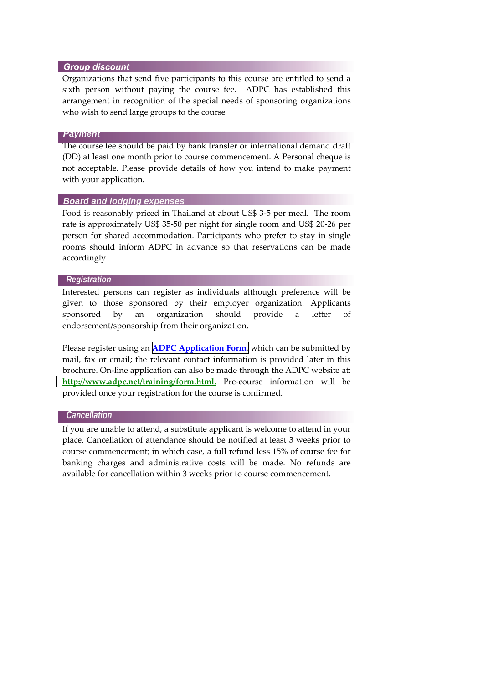## **Group discount**

Organizations that send five participants to this course are entitled to send a sixth person without paying the course fee. ADPC has established this arrangement in recognition of the special needs of sponsoring organizations who wish to send large groups to the course

## *Payment*

The course fee should be paid by bank transfer or international demand draft (DD) at least one month prior to course commencement. A Personal cheque is not acceptable. Please provide details of how you intend to make payment with your application.

#### *Board and lodging expenses*

Food is reasonably priced in Thailand at about US\$ 3‐5 per meal. The room rate is approximately US\$ 35‐50 per night for single room and US\$ 20‐26 per person for shared accommodation. Participants who prefer to stay in single rooms should inform ADPC in advance so that reservations can be made accordingly.

#### *Registration*

Interested persons can register as individuals although preference will be given to those sponsored by their employer organization. Applicants sponsored by an organization should provide a letter of endorsement/sponsorship from their organization.

Please register using an **ADPC [Application](http://www.adpc.net/TRG/Application_Form.pdf) Form**, which can be submitted by mail, fax or email; the relevant contact information is provided later in this brochure. On-line application can also be made through the ADPC website at: <http://www.adpc.net/training/form.html>. Pre-course information will be provided once your registration for the course is confirmed.

#### *Cancellation*

If you are unable to attend, a substitute applicant is welcome to attend in your place. Cancellation of attendance should be notified at least 3 weeks prior to course commencement; in which case, a full refund less 15% of course fee for banking charges and administrative costs will be made. No refunds are available for cancellation within 3 weeks prior to course commencement.